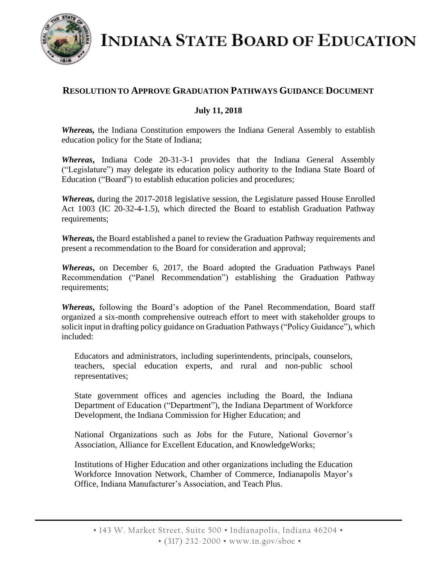

**INDIANA STATE BOARD OF EDUCATION** 

## **RESOLUTION TO APPROVE GRADUATION PATHWAYS GUIDANCE DOCUMENT**

## **July 11, 2018**

*Whereas,* the Indiana Constitution empowers the Indiana General Assembly to establish education policy for the State of Indiana;

*Whereas***,** Indiana Code 20-31-3-1 provides that the Indiana General Assembly ("Legislature") may delegate its education policy authority to the Indiana State Board of Education ("Board") to establish education policies and procedures;

*Whereas,* during the 2017-2018 legislative session, the Legislature passed House Enrolled Act 1003 (IC 20-32-4-1.5), which directed the Board to establish Graduation Pathway requirements;

*Whereas,* the Board established a panel to review the Graduation Pathway requirements and present a recommendation to the Board for consideration and approval;

*Whereas***,** on December 6, 2017, the Board adopted the Graduation Pathways Panel Recommendation ("Panel Recommendation") establishing the Graduation Pathway requirements;

*Whereas***,** following the Board's adoption of the Panel Recommendation, Board staff organized a six-month comprehensive outreach effort to meet with stakeholder groups to solicit input in drafting policy guidance on Graduation Pathways ("Policy Guidance"), which included:

Educators and administrators, including superintendents, principals, counselors, teachers, special education experts, and rural and non-public school representatives;

State government offices and agencies including the Board, the Indiana Department of Education ("Department"), the Indiana Department of Workforce Development, the Indiana Commission for Higher Education; and

National Organizations such as Jobs for the Future, National Governor's Association, Alliance for Excellent Education, and KnowledgeWorks;

Institutions of Higher Education and other organizations including the Education Workforce Innovation Network, Chamber of Commerce, Indianapolis Mayor's Office, Indiana Manufacturer's Association, and Teach Plus.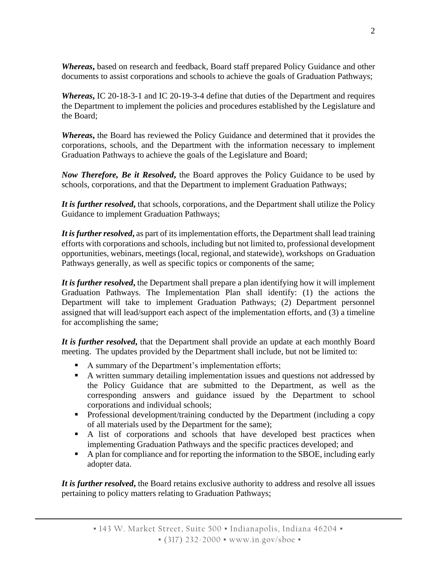*Whereas***,** based on research and feedback, Board staff prepared Policy Guidance and other documents to assist corporations and schools to achieve the goals of Graduation Pathways;

*Whereas***,** IC 20-18-3-1 and IC 20-19-3-4 define that duties of the Department and requires the Department to implement the policies and procedures established by the Legislature and the Board;

*Whereas***,** the Board has reviewed the Policy Guidance and determined that it provides the corporations, schools, and the Department with the information necessary to implement Graduation Pathways to achieve the goals of the Legislature and Board;

*Now Therefore, Be it Resolved***,** the Board approves the Policy Guidance to be used by schools, corporations, and that the Department to implement Graduation Pathways;

*It is further resolved***,** that schools, corporations, and the Department shall utilize the Policy Guidance to implement Graduation Pathways;

*It is further resolved***,** as part of its implementation efforts, the Department shall lead training efforts with corporations and schools, including but not limited to, professional development opportunities, webinars, meetings (local, regional, and statewide), workshops on Graduation Pathways generally, as well as specific topics or components of the same;

*It is further resolved***,** the Department shall prepare a plan identifying how it will implement Graduation Pathways. The Implementation Plan shall identify: (1) the actions the Department will take to implement Graduation Pathways; (2) Department personnel assigned that will lead/support each aspect of the implementation efforts, and (3) a timeline for accomplishing the same;

*It is further resolved***,** that the Department shall provide an update at each monthly Board meeting. The updates provided by the Department shall include, but not be limited to:

- A summary of the Department's implementation efforts;
- A written summary detailing implementation issues and questions not addressed by the Policy Guidance that are submitted to the Department, as well as the corresponding answers and guidance issued by the Department to school corporations and individual schools;
- **Professional development/training conducted by the Department (including a copy** of all materials used by the Department for the same);
- A list of corporations and schools that have developed best practices when implementing Graduation Pathways and the specific practices developed; and
- A plan for compliance and for reporting the information to the SBOE, including early adopter data.

*It is further resolved***,** the Board retains exclusive authority to address and resolve all issues pertaining to policy matters relating to Graduation Pathways;